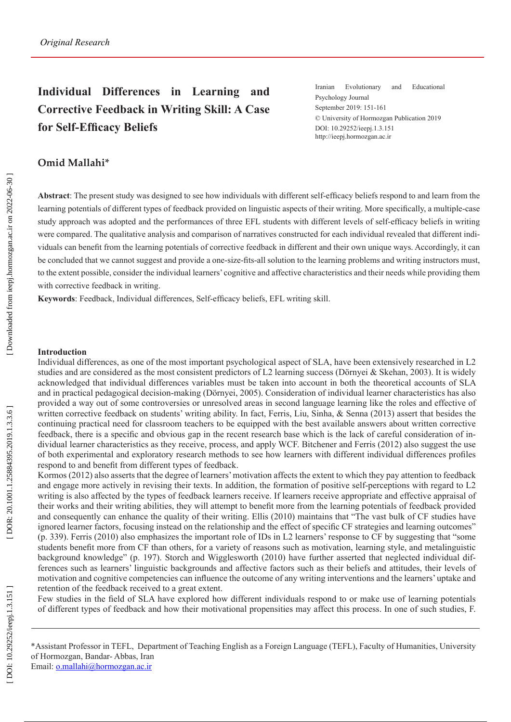# **Individual Differences in Learning and Corrective Feedback in Writing Skill: A Case for Self-Efficacy Beliefs**

Iranian Evolutionary and Educational Psychology Journal September 2019: 151-161 © University of Hormozgan Publication 2019 DOI: 10.29252/ieepj.1.3.151 http://ieepj.hormozgan.ac.ir

## **Omid Mallahi\***

**Abstract**: The present study was designed to see how individuals with different self-efficacy beliefs respond to and learn from the learning potentials of different types of feedback provided on linguistic aspects of their writing. More speci fically, a multiple-case study approach was adopted and the performances of three EFL students with different levels of self-efficacy beliefs in writing were compared. The qualitative analysis and comparison of narratives constructed for each individual revealed that different indi viduals can bene fit from the learning potentials of corrective feedback in different and their own unique ways. Accordingly, it can be concluded that we cannot suggest and provide a one-size-fits-all solution to the learning problems and writing instructors must, to the extent possible, consider the individual learners' cognitive and affective characteristics and their needs while providing them with corrective feedback in writing.

**Keywords**: Feedback, Individual differences, Self-efficacy beliefs, EFL writing skill.

### **Introduction**

Individual differences, as one of the most important psychological aspect of SLA, have been extensively researched in L2 studies and are considered as the most consistent predictors of L2 learning success (Dörnyei & Skehan, 2003). It is widely acknowledged that individual differences variables must be taken into account in both the theoretical accounts of SLA and in practical pedagogical decision-making (Dörnyei, 2005). Consideration of individual learner characteristics has also provided a way out of some controversies or unresolved areas in second language learning like the roles and effective of written corrective feedback on students' writing ability. In fact, Ferris, Liu, Sinha, & Senna (2013) assert that besides the continuing practical need for classroom teachers to be equipped with the best available answers about written corrective feedback, there is a specific and obvious gap in the recent research base which is the lack of careful consideration of in dividual learner characteristics as they receive, process, and apply WCF. Bitchener and Ferris (2012) also suggest the use of both experimental and exploratory research methods to see how learners with different individual differences pro files respond to and bene fit from different types of feedback.

Kormos (2012) also asserts that the degree of learners' motivation affects the extent to which they pay attention to feedback and engage more actively in revising their texts. In addition, the formation of positive self-perceptions with regard to L2 writing is also affected by the types of feedback learners receive. If learners receive appropriate and effective appraisal of their works and their writing abilities, they will attempt to bene fit more from the learning potentials of feedback provided and consequently can enhance the quality of their writing. Ellis (2010) maintains that "The vast bulk of CF studies have ignored learner factors, focusing instead on the relationship and the effect of specific CF strategies and learning outcomes" (p. 339). Ferris (2010) also emphasizes the important role of IDs in L2 learners' response to CF by suggesting that "some students bene fit more from CF than others, for a variety of reasons such as motivation, learning style, and metalinguistic background knowledge" (p. 197). Storch and Wigglesworth (2010) have further asserted that neglected individual differences such as learners' linguistic backgrounds and affective factors such as their beliefs and attitudes, their levels of motivation and cognitive competencies can influence the outcome of any writing interventions and the learners' uptake and retention of the feedback received to a great extent.

Few studies in the field of SLA have explored how different individuals respond to or make use of learning potentials of different types of feedback and how their motivational propensities may affect this process. In one of such studies, F.

\*Assistant Professor in TEFL, Department of Teaching English as a Foreign Language (TEFL), Faculty of Humanities, University of Hormozgan, Bandar- Abbas, Iran Email: o.mallahi@hormozgan.ac.ir

[ DOI: 10.29252/ieepj.1.3.151 ] [ DOR: 20.1001.1.1.2019.1.3.3.6 ] [ DoR: 20.1001.1.3.3.6 ] [\[ Downloaded from ieepj.hormozgan.ac.ir](http://ieepj.hormozgan.ac.ir/article-1-89-en.html) on 2022-06-30 ] [Downloaded from ieepj.hormozgan.ac.ir on 2022-06-30]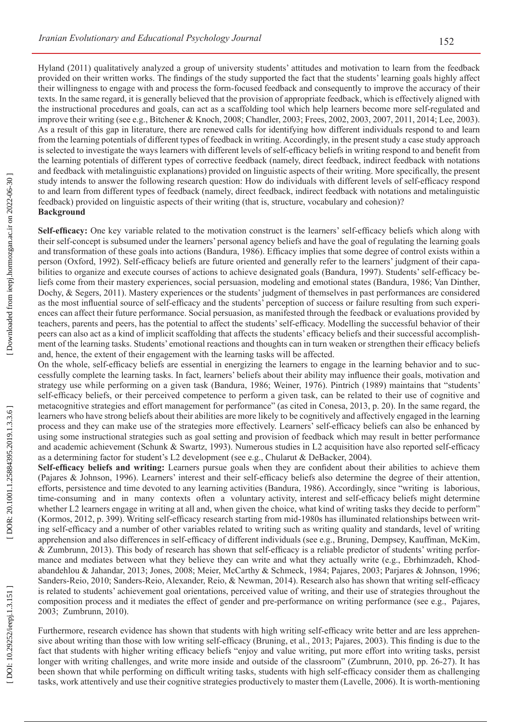Hyland (2011) qualitatively analyzed a group of university students' attitudes and motivation to learn from the feedback provided on their written works. The findings of the study supported the fact that the students' learning goals highly affect their willingness to engage with and process the form-focused feedback and consequently to improve the accuracy of their texts. In the same regard, it is generally believed that the provision of appropriate feedback, which is effectively aligned with the instructional procedures and goals, can act as a scaffolding tool which help learners become more self-regulated and improve their writing (see e.g., Bitchener & Knoch, 2008; Chandler, 2003; Frees, 2002, 2003, 2007, 2011, 2014; Lee, 2003). As a result of this gap in literature, there are renewed calls for identifying how different individuals respond to and learn from the learning potentials of different types of feedback in writing. Accordingly, in the present study a case study approach is selected to investigate the ways learners with different levels of self-efficacy beliefs in writing respond to and bene fit from the learning potentials of different types of corrective feedback (namely, direct feedback, indirect feedback with notations and feedback with metalinguistic explanations) provided on linguistic aspects of their writing. More speci fically, the present study intends to answer the following research question: How do individuals with different levels of self-efficacy respond to and learn from different types of feedback (namely, direct feedback, indirect feedback with notations and metalinguistic feedback) provided on linguistic aspects of their writing (that is, structure, vocabulary and cohesion)? **Background**

**Self-efficacy:** One key variable related to the motivation construct is the learners' self-efficacy beliefs which along with their self-concept is subsumed under the learners' personal agency beliefs and have the goal of regulating the learning goals and transformation of these goals into actions (Bandura, 1986). Efficacy implies that some degree of control exists within a person (Oxford, 1992). Self-efficacy beliefs are future oriented and generally refer to the learners' judgment of their capa bilities to organize and execute courses of actions to achieve designated goals (Bandura, 1997). Students' self-efficacy be liefs come from their mastery experiences, social persuasion, modeling and emotional states (Bandura, 1986; Van Dinther, Dochy, & Segers, 2011). Mastery experiences or the students' judgment of themselves in past performances are considered as the most influential source of self-efficacy and the students' perception of success or failure resulting from such experi ences can affect their future performance. Social persuasion, as manifested through the feedback or evaluations provided by teachers, parents and peers, has the potential to affect the students' self-efficacy. Modelling the successful behavior of their peers can also act as a kind of implicit scaffolding that affects the students' efficacy beliefs and their successful accomplish ment of the learning tasks. Students' emotional reactions and thoughts can in turn weaken or strengthen their efficacy beliefs and, hence, the extent of their engagement with the learning tasks will be affected.

On the whole, self-efficacy beliefs are essential in energizing the learners to engage in the learning behavior and to suc cessfully complete the learning tasks. In fact, learners' beliefs about their ability may influence their goals, motivation and strategy use while performing on a given task (Bandura, 1986; Weiner, 1976). Pintrich (1989) maintains that "students' self-efficacy beliefs, or their perceived competence to perform a given task, can be related to their use of cognitive and metacognitive strategies and effort management for performance" (as cited in Conesa, 2013, p. 20). In the same regard, the learners who have strong beliefs about their abilities are more likely to be cognitively and affectively engaged in the learning process and they can make use of the strategies more effectively. Learners' self-efficacy beliefs can also be enhanced by using some instructional strategies such as goal setting and provision of feedback which may result in better performance and academic achievement (Schunk & Swartz, 1993). Numerous studies in L2 acquisition have also reported self-efficacy as a determining factor for student's L2 development (see e.g., Chularut & DeBacker, 2004).

Self-efficacy beliefs and writing: Learners pursue goals when they are confident about their abilities to achieve them (Pajares & Johnson, 1996). Learners' interest and their self-efficacy beliefs also determine the degree of their attention, efforts, persistence and time devoted to any learning activities (Bandura, 1986). Accordingly, since "writing is laborious, time-consuming and in many contexts often a voluntary activity, interest and self-efficacy beliefs might determine whether L2 learners engage in writing at all and, when given the choice, what kind of writing tasks they decide to perform" (Kormos, 2012, p. 399). Writing self-efficacy research starting from mid-1980s has illuminated relationships between writ ing self-efficacy and a number of other variables related to writing such as writing quality and standards, level of writing apprehension and also differences in self-efficacy of different individuals (see e.g., Bruning, Dempsey, Kauffman, McKim, & Zumbrunn, 2013). This body of research has shown that self-efficacy is a reliable predictor of students' writing perfor mance and mediates between what they believe they can write and what they actually write (e.g., Ebrhimzadeh, Khodabandehlou & Jahandar, 2013; Jones, 2008; Meier, McCarthy & Schmeck, 1984; Pajares, 2003; Parjares & Johnson, 1996; Sanders-Reio, 2010; Sanders-Reio, Alexander, Reio, & Newman, 2014). Research also has shown that writing self-efficacy is related to students' achievement goal orientations, perceived value of writing, and their use of strategies throughout the composition process and it mediates the effect of gender and pre-performance on writing performance (see e.g., Pajares, 2003; Zumbrunn, 2010).

Furthermore, research evidence has shown that students with high writing self-efficacy write better and are less apprehen sive about writing than those with low writing self-efficacy (Bruning, et al., 2013; Pajares, 2003). This finding is due to the fact that students with higher writing efficacy beliefs "enjoy and value writing, put more effort into writing tasks, persist longer with writing challenges, and write more inside and outside of the classroom" (Zumbrunn, 2010, pp. 26-27). It has been shown that while performing on difficult writing tasks, students with high self-efficacy consider them as challenging tasks, work attentively and use their cognitive strategies productively to master them (Lavelle, 2006). It is worth-mentioning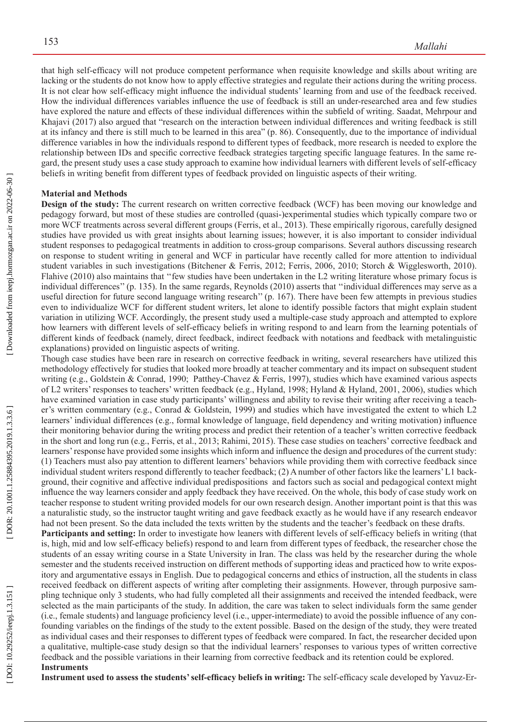that high self-efficacy will not produce competent performance when requisite knowledge and skills about writing are lacking or the students do not know how to apply effective strategies and regulate their actions during the writing process. It is not clear how self-efficacy might influence the individual students' learning from and use of the feedback received. How the individual differences variables influence the use of feedback is still an under-researched area and few studies have explored the nature and effects of these individual differences within the sub field of writing. Saadat, Mehrpour and Khajavi (2017) also argued that "research on the interaction between individual differences and writing feedback is still at its infancy and there is still much to be learned in this area" (p. 86). Consequently, due to the importance of individual difference variables in how the individuals respond to different types of feedback, more research is needed to explore the relationship between IDs and specific corrective feedback strategies targeting specific language features. In the same regard, the present study uses a case study approach to examine how individual learners with different levels of self-efficacy beliefs in writing bene fit from different types of feedback provided on linguistic aspects of their writing.

## **Material and Methods**

**Design of the study:** The current research on written corrective feedback (WCF) has been moving our knowledge and pedagogy forward, but most of these studies are controlled (quasi-)experimental studies which typically compare two or more WCF treatments across several different groups (Ferris, et al., 2013). These empirically rigorous, carefully designed studies have provided us with great insights about learning issues; however, it is also important to consider individual student responses to pedagogical treatments in addition to cross-group comparisons. Several authors discussing research on response to student writing in general and WCF in particular have recently called for more attention to individual student variables in such investigations (Bitchener & Ferris, 2012; Ferris, 2006, 2010; Storch & Wigglesworth, 2010). Flahive (2010) also maintains that ''few studies have been undertaken in the L2 writing literature whose primary focus is individual differences'' (p. 135). In the same regards, Reynolds (2010) asserts that ''individual differences may serve as a useful direction for future second language writing research'' (p. 167). There have been few attempts in previous studies even to individualize WCF for different student writers, let alone to identify possible factors that might explain student variation in utilizing WCF. Accordingly, the present study used a multiple-case study approach and attempted to explore how learners with different levels of self-efficacy beliefs in writing respond to and learn from the learning potentials of different kinds of feedback (namely, direct feedback, indirect feedback with notations and feedback with metalinguistic explanations) provided on linguistic aspects of writing.

Though case studies have been rare in research on corrective feedback in writing, several researchers have utilized this methodology effectively for studies that looked more broadly at teacher commentary and its impact on subsequent student writing (e.g., Goldstein & Conrad, 1990; Patthey-Chavez & Ferris, 1997), studies which have examined various aspects of L2 writers' responses to teachers' written feedback (e.g., Hyland, 1998; Hyland & Hyland, 2001, 2006), studies which have examined variation in case study participants' willingness and ability to revise their writing after receiving a teacher's written commentary (e.g., Conrad & Goldstein, 1999) and studies which have investigated the extent to which L2 learners' individual differences (e.g., formal knowledge of language, field dependency and writing motivation) influence their monitoring behavior during the writing process and predict their retention of a teacher's written corrective feedback in the short and long run (e.g., Ferris, et al., 2013; Rahimi, 2015). These case studies on teachers' corrective feedback and learners' response have provided some insights which inform and influence the design and procedures of the current study: (1) Teachers must also pay attention to different learners' behaviors while providing them with corrective feedback since individual student writers respond differently to teacher feedback; (2) A number of other factors like the learners' L1 back ground, their cognitive and affective individual predispositions and factors such as social and pedagogical context might influence the way learners consider and apply feedback they have received. On the whole, this body of case study work on teacher response to student writing provided models for our own research design. Another important point is that this was a naturalistic study, so the instructor taught writing and gave feedback exactly as he would have if any research endeavor had not been present. So the data included the texts written by the students and the teacher's feedback on these drafts.

**Participants and setting:** In order to investigate how leaners with different levels of self-efficacy beliefs in writing (that is, high, mid and low self-efficacy beliefs) respond to and learn from different types of feedback, the researcher chose the students of an essay writing course in a State University in Iran. The class was held by the researcher during the whole semester and the students received instruction on different methods of supporting ideas and practiced how to write expos itory and argumentative essays in English. Due to pedagogical concerns and ethics of instruction, all the students in class received feedback on different aspects of writing after completing their assignments. However, through purposive sam pling technique only 3 students, who had fully completed all their assignments and received the intended feedback, were selected as the main participants of the study. In addition, the care was taken to select individuals form the same gender (i.e., female students) and language proficiency level (i.e., upper-intermediate) to avoid the possible influence of any confounding variables on the findings of the study to the extent possible. Based on the design of the study, they were treated as individual cases and their responses to different types of feedback were compared. In fact, the researcher decided upon a qualitative, multiple-case study design so that the individual learners' responses to various types of written corrective feedback and the possible variations in their learning from corrective feedback and its retention could be explored. **Instruments**

**Instrument used to assess the students' self-efficacy beliefs in writing:** The self-efficacy scale developed by Yavuz-Er -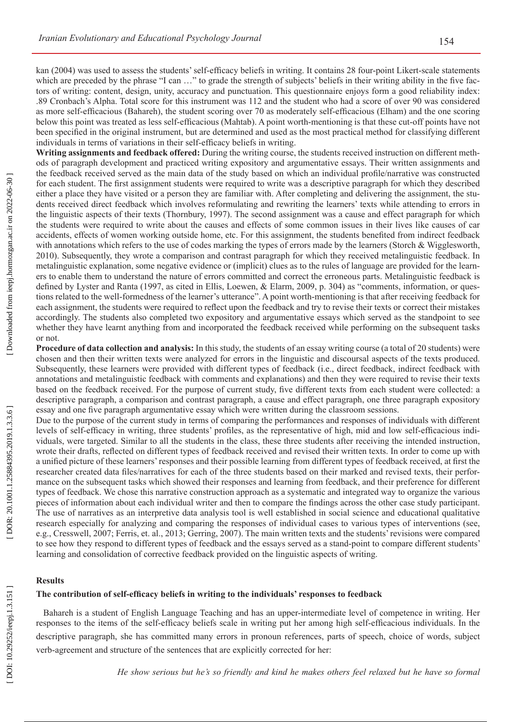kan (2004) was used to assess the students' self-efficacy beliefs in writing. It contains 28 four-point Likert-scale statements which are preceded by the phrase "I can ..." to grade the strength of subjects' beliefs in their writing ability in the five factors of writing: content, design, unity, accuracy and punctuation. This questionnaire enjoys form a good reliability index: .89 Cronbach's Alpha. Total score for this instrument was 112 and the student who had a score of over 90 was considered as more self-efficacious (Bahareh), the student scoring over 70 as moderately self-efficacious (Elham) and the one scoring below this point was treated as less self-efficacious (Mahtab). A point worth-mentioning is that these cut-off points have not been speci fied in the original instrument, but are determined and used as the most practical method for classifying different individuals in terms of variations in their self-efficacy beliefs in writing.

**Writing assignments and feedback offered:** During the writing course, the students received instruction on different meth ods of paragraph development and practiced writing expository and argumentative essays. Their written assignments and the feedback received served as the main data of the study based on which an individual pro file/narrative was constructed for each student. The first assignment students were required to write was a descriptive paragraph for which they described either a place they have visited or a person they are familiar with. After completing and delivering the assignment, the stu dents received direct feedback which involves reformulating and rewriting the learners' texts while attending to errors in the linguistic aspects of their texts (Thornbury, 1997). The second assignment was a cause and effect paragraph for which the students were required to write about the causes and effects of some common issues in their lives like causes of car accidents, effects of women working outside home, etc. For this assignment, the students bene fited from indirect feedback with annotations which refers to the use of codes marking the types of errors made by the learners (Storch & Wigglesworth, 2010). Subsequently, they wrote a comparison and contrast paragraph for which they received metalinguistic feedback. In metalinguistic explanation, some negative evidence or (implicit) clues as to the rules of language are provided for the learn ers to enable them to understand the nature of errors committed and correct the erroneous parts. Metalinguistic feedback is de fined by Lyster and Ranta (1997, as cited in Ellis, Loewen, & Elarm, 2009, p. 304) as "comments, information, or ques tions related to the well-formedness of the learner's utterance". A point worth-mentioning is that after receiving feedback for each assignment, the students were required to reflect upon the feedback and try to revise their texts or correct their mistakes accordingly. The students also completed two expository and argumentative essays which served as the standpoint to see whether they have learnt anything from and incorporated the feedback received while performing on the subsequent tasks or not.

**Procedure of data collection and analysis:** In this study, the students of an essay writing course (a total of 20 students) were chosen and then their written texts were analyzed for errors in the linguistic and discoursal aspects of the texts produced. Subsequently, these learners were provided with different types of feedback (i.e., direct feedback, indirect feedback with annotations and metalinguistic feedback with comments and explanations) and then they were required to revise their texts based on the feedback received. For the purpose of current study, five different texts from each student were collected: a descriptive paragraph, a comparison and contrast paragraph, a cause and effect paragraph, one three paragraph expository essay and one five paragraph argumentative essay which were written during the classroom sessions.

Due to the purpose of the current study in terms of comparing the performances and responses of individuals with different levels of self-efficacy in writing, three students' profiles, as the representative of high, mid and low self-efficacious individuals, were targeted. Similar to all the students in the class, these three students after receiving the intended instruction, wrote their drafts, reflected on different types of feedback received and revised their written texts. In order to come up with a uni fied picture of these learners' responses and their possible learning from different types of feedback received, at first the researcher created data files/narratives for each of the three students based on their marked and revised texts, their perfor mance on the subsequent tasks which showed their responses and learning from feedback, and their preference for different types of feedback. We chose this narrative construction approach as a systematic and integrated way to organize the various pieces of information about each individual writer and then to compare the findings across the other case study participant. The use of narratives as an interpretive data analysis tool is well established in social science and educational qualitative research especially for analyzing and comparing the responses of individual cases to various types of interventions (see, e.g., Cresswell, 2007; Ferris, et. al., 2013; Gerring, 2007). The main written texts and the students' revisions were compared to see how they respond to different types of feedback and the essays served as a stand-point to compare different students' learning and consolidation of corrective feedback provided on the linguistic aspects of writing.

#### **Results**

## **The contribution of self-efficacy beliefs in writing to the individuals' responses to feedback**

Bahareh is a student of English Language Teaching and has an upper-intermediate level of competence in writing. Her responses to the items of the self-efficacy beliefs scale in writing put her among high self-efficacious individuals. In the descriptive paragraph, she has committed many errors in pronoun references, parts of speech, choice of words, subject verb-agreement and structure of the sentences that are explicitly corrected for her:

*He show serious but he's so friendly and kind he makes others feel relaxed but he have so formal*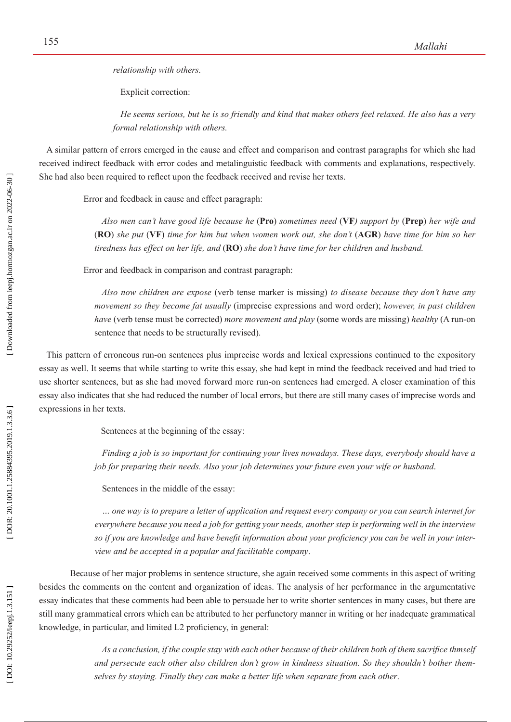*relationship with others.*

Explicit correction:

*He seems serious, but he is so friendly and kind that makes others feel relaxed. He also has a very formal relationship with others.* 

A similar pattern of errors emerged in the cause and effect and comparison and contrast paragraphs for which she had received indirect feedback with error codes and metalinguistic feedback with comments and explanations, respectively. She had also been required to reflect upon the feedback received and revise her texts.

Error and feedback in cause and effect paragraph:

*Also men can't have good life because he* (**Pro**) *sometimes need* (**VF***) support by* (**Prep**) *her wife and* (**RO**) *she put* (**VF**) *time for him but when women work out, she don't* (**AGR**) *have time for him so her tiredness has effect on her life, and* (**RO**) *she don't have time for her children and husband.* 

Error and feedback in comparison and contrast paragraph:

*Also now children are expose* (verb tense marker is missing) *to disease because they don't have any movement so they become fat usually* (imprecise expressions and word order); *however, in past children have* (verb tense must be corrected) *more movement and play* (some words are missing) *healthy* (A run-on sentence that needs to be structurally revised).

This pattern of erroneous run-on sentences plus imprecise words and lexical expressions continued to the expository essay as well. It seems that while starting to write this essay, she had kept in mind the feedback received and had tried to use shorter sentences, but as she had moved forward more run-on sentences had emerged. A closer examination of this essay also indicates that she had reduced the number of local errors, but there are still many cases of imprecise words and expressions in her texts.

Sentences at the beginning of the essay:

*Finding a job is so important for continuing your lives nowadays. These days, everybody should have a job for preparing their needs. Also your job determines your future even your wife or husband*.

Sentences in the middle of the essay:

*… one way is to prepare a letter of application and request every company or you can search internet for everywhere because you need a job for getting your needs, another step is performing well in the interview so if you are knowledge and have benefit information about your proficiency you can be well in your interview and be accepted in a popular and facilitable company*.

Because of her major problems in sentence structure, she again received some comments in this aspect of writing besides the comments on the content and organization of ideas. The analysis of her performance in the argumentative essay indicates that these comments had been able to persuade her to write shorter sentences in many cases, but there are still many grammatical errors which can be attributed to her perfunctory manner in writing or her inadequate grammatical knowledge, in particular, and limited L2 pro ficiency, in general:

> *As a conclusion, if the couple stay with each other because of their children both of them sacrifice thmself and persecute each other also children don't grow in kindness situation. So they shouldn't bother them selves by staying. Finally they can make a better life when separate from each other* .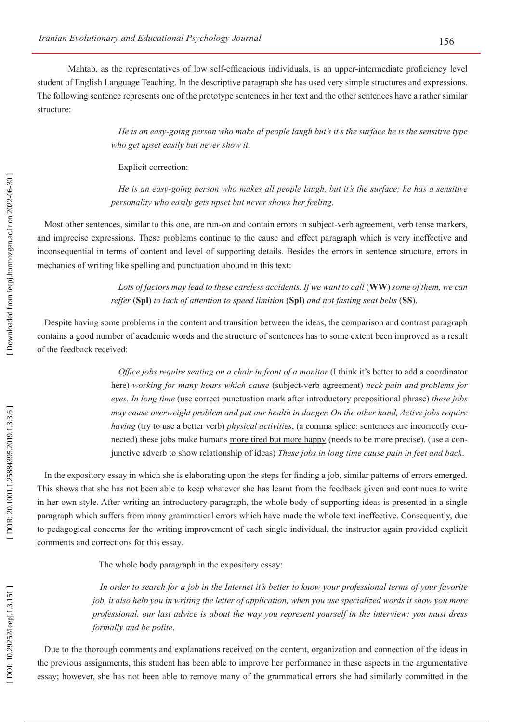Mahtab, as the representatives of low self-efficacious individuals, is an upper-intermediate pro ficiency level student of English Language Teaching. In the descriptive paragraph she has used very simple structures and expressions. The following sentence represents one of the prototype sentences in her text and the other sentences have a rather similar structure:

> *He is an easy-going person who make al people laugh but's it's the surface he is the sensitive type who get upset easily but never show it*.

Explicit correction:

*He is an easy-going person who makes all people laugh, but it's the surface; he has a sensitive personality who easily gets upset but never shows her feeling*.

Most other sentences, similar to this one, are run-on and contain errors in subject-verb agreement, verb tense markers, and imprecise expressions. These problems continue to the cause and effect paragraph which is very ineffective and inconsequential in terms of content and level of supporting details. Besides the errors in sentence structure, errors in mechanics of writing like spelling and punctuation abound in this text:

> *Lots of factors may lead to these careless accidents. If we want to call* (**WW**) *some of them, we can reffer*  (**Spl**) *to lack of attention to speed limition* (**Spl**) *and not fasting seat belts* (**SS**).

Despite having some problems in the content and transition between the ideas, the comparison and contrast paragraph contains a good number of academic words and the structure of sentences has to some extent been improved as a result of the feedback received:

> *Office jobs require seating on a chair in front of a monitor* (I think it's better to add a coordinator here) *working for many hours which cause* (subject-verb agreement) *neck pain and problems for eyes. In long time* (use correct punctuation mark after introductory prepositional phrase) *these jobs may cause overweight problem and put our health in danger. On the other hand, Active jobs require having* (try to use a better verb) *physical activities*, (a comma splice: sentences are incorrectly con nected) these jobs make humans more tired but more happy (needs to be more precise). (use a conjunctive adverb to show relationship of ideas) *These jobs in long time cause pain in feet and back*.

In the expository essay in which she is elaborating upon the steps for finding a job, similar patterns of errors emerged. This shows that she has not been able to keep whatever she has learnt from the feedback given and continues to write in her own style. After writing an introductory paragraph, the whole body of supporting ideas is presented in a single paragraph which suffers from many grammatical errors which have made the whole text ineffective. Consequently, due to pedagogical concerns for the writing improvement of each single individual, the instructor again provided explicit comments and corrections for this essay.

The whole body paragraph in the expository essay:

*In order to search for a job in the Internet it's better to know your professional terms of your favorite job, it also help you in writing the letter of application, when you use specialized words it show you more professional. our last advice is about the way you represent yourself in the interview: you must dress formally and be polite*.

Due to the thorough comments and explanations received on the content, organization and connection of the ideas in the previous assignments, this student has been able to improve her performance in these aspects in the argumentative essay; however, she has not been able to remove many of the grammatical errors she had similarly committed in the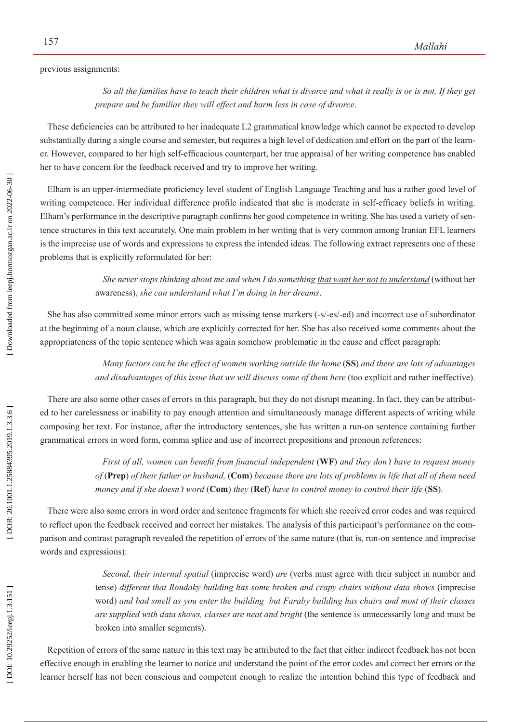previous assignments:

*So all the families have to teach their children what is divorce and what it really is or is not, If they get prepare and be familiar they will effect and harm less in case of divorce*.

These de ficiencies can be attributed to her inadequate L2 grammatical knowledge which cannot be expected to develop substantially during a single course and semester, but requires a high level of dedication and effort on the part of the learn er. However, compared to her high self-efficacious counterpart, her true appraisal of her writing competence has enabled her to have concern for the feedback received and try to improve her writing.

Elham is an upper-intermediate pro ficiency level student of English Language Teaching and has a rather good level of writing competence. Her individual difference pro file indicated that she is moderate in self-efficacy beliefs in writing. Elham's performance in the descriptive paragraph con firms her good competence in writing. She has used a variety of sen tence structures in this text accurately. One main problem in her writing that is very common among Iranian EFL learners is the imprecise use of words and expressions to express the intended ideas. The following extract represents one of these problems that is explicitly reformulated for her:

> *She never stops thinking about me and when I do something that want her not to understand* (without her awareness), *she can understand what I'm doing in her dreams*.

She has also committed some minor errors such as missing tense markers (-s/-es/-ed) and incorrect use of subordinator at the beginning of a noun clause, which are explicitly corrected for her. She has also received some comments about the appropriateness of the topic sentence which was again somehow problematic in the cause and effect paragraph:

> *Many factors can be the effect of women working outside the home* (**SS**) *and there are lots of advantages and disadvantages of this issue that we will discuss some of them here* (too explicit and rather ineffective).

There are also some other cases of errors in this paragraph, but they do not disrupt meaning. In fact, they can be attribut ed to her carelessness or inability to pay enough attention and simultaneously manage different aspects of writing while composing her text. For instance, after the introductory sentences, she has written a run-on sentence containing further grammatical errors in word form, comma splice and use of incorrect prepositions and pronoun references:

> *First of all, women can benefit from financial independent* (**WF**) *and they don't have to request money of* (**Prep**) *of their father or husband,* (**Com**) *because there are lots of problems in life that all of them need money and if she doesn't word* (**Com**) *they* (**Ref**) *have to control money to control their life* (**SS**).

There were also some errors in word order and sentence fragments for which she received error codes and was required to reflect upon the feedback received and correct her mistakes. The analysis of this participant's performance on the com parison and contrast paragraph revealed the repetition of errors of the same nature (that is, run-on sentence and imprecise words and expressions):

> *Second, their internal spatial* (imprecise word) *are* (verbs must agree with their subject in number and tense) *different that Roudaky building has some broken and crapy chairs without data shows* (imprecise word) *and bad smell as you enter the building but Faraby building has chairs and most of their classes are supplied with data shows, classes are neat and bright* (the sentence is unnecessarily long and must be broken into smaller segments).

Repetition of errors of the same nature in this text may be attributed to the fact that either indirect feedback has not been effective enough in enabling the learner to notice and understand the point of the error codes and correct her errors or the learner herself has not been conscious and competent enough to realize the intention behind this type of feedback and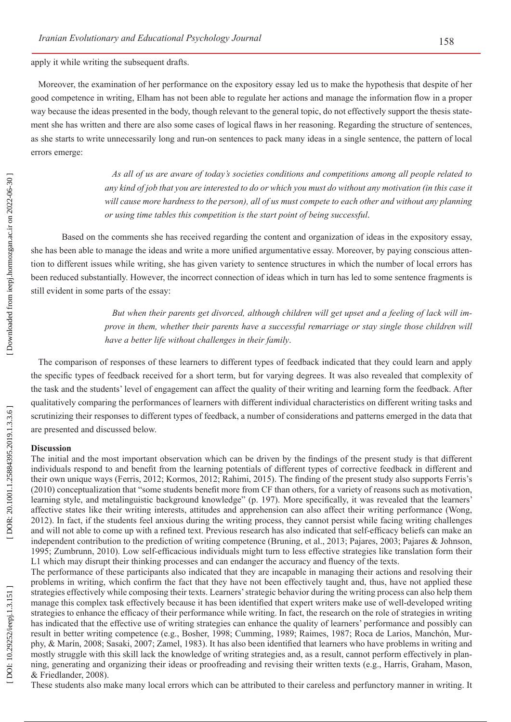apply it while writing the subsequent drafts.

Moreover, the examination of her performance on the expository essay led us to make the hypothesis that despite of her good competence in writing, Elham has not been able to regulate her actions and manage the information flow in a proper way because the ideas presented in the body, though relevant to the general topic, do not effectively support the thesis state ment she has written and there are also some cases of logical flaws in her reasoning. Regarding the structure of sentences, as she starts to write unnecessarily long and run-on sentences to pack many ideas in a single sentence, the pattern of local errors emerge:

> *As all of us are aware of today's societies conditions and competitions among all people related to any kind of job that you are interested to do or which you must do without any motivation (in this case it will cause more hardness to the person), all of us must compete to each other and without any planning or using time tables this competition is the start point of being successful* .

Based on the comments she has received regarding the content and organization of ideas in the expository essay, she has been able to manage the ideas and write a more uni fied argumentative essay. Moreover, by paying conscious atten tion to different issues while writing, she has given variety to sentence structures in which the number of local errors has been reduced substantially. However, the incorrect connection of ideas which in turn has led to some sentence fragments is still evident in some parts of the essay:

> *But when their parents get divorced, although children will get upset and a feeling of lack will im prove in them, whether their parents have a successful remarriage or stay single those children will have a better life without challenges in their family*.

The comparison of responses of these learners to different types of feedback indicated that they could learn and apply the speci fic types of feedback received for a short term, but for varying degrees. It was also revealed that complexity of the task and the students' level of engagement can affect the quality of their writing and learning form the feedback. After qualitatively comparing the performances of learners with different individual characteristics on different writing tasks and scrutinizing their responses to different types of feedback, a number of considerations and patterns emerged in the data that are presented and discussed below.

#### **Discussion**

The initial and the most important observation which can be driven by the findings of the present study is that different individuals respond to and bene fit from the learning potentials of different types of corrective feedback in different and their own unique ways (Ferris, 2012; Kormos, 2012; Rahimi, 2015). The finding of the present study also supports Ferris's (2010) conceptualization that "some students bene fit more from CF than others, for a variety of reasons such as motivation, learning style, and metalinguistic background knowledge" (p. 197). More speci fically, it was revealed that the learners' affective states like their writing interests, attitudes and apprehension can also affect their writing performance (Wong, 2012). In fact, if the students feel anxious during the writing process, they cannot persist while facing writing challenges and will not able to come up with a re fined text. Previous research has also indicated that self-efficacy beliefs can make an independent contribution to the prediction of writing competence (Bruning, et al., 2013; Pajares, 2003; Pajares & Johnson, 1995; Zumbrunn, 2010). Low self-efficacious individuals might turn to less effective strategies like translation form their L1 which may disrupt their thinking processes and can endanger the accuracy and fluency of the texts.

The performance of these participants also indicated that they are incapable in managing their actions and resolving their problems in writing, which con firm the fact that they have not been effectively taught and, thus, have not applied these strategies effectively while composing their texts. Learners' strategic behavior during the writing process can also help them manage this complex task effectively because it has been identi fied that expert writers make use of well-developed writing strategies to enhance the efficacy of their performance while writing. In fact, the research on the role of strategies in writing has indicated that the effective use of writing strategies can enhance the quality of learners' performance and possibly can result in better writing competence (e.g., Bosher, 1998; Cumming, 1989; Raimes, 1987; Roca de Larios, Manchón, Mur phy, & Marín, 2008; Sasaki, 2007; Zamel, 1983). It has also been identi fied that learners who have problems in writing and mostly struggle with this skill lack the knowledge of writing strategies and, as a result, cannot perform effectively in plan ning, generating and organizing their ideas or proofreading and revising their written texts (e.g., Harris, Graham, Mason, & Friedlander, 2008).

These students also make many local errors which can be attributed to their careless and perfunctory manner in writing. It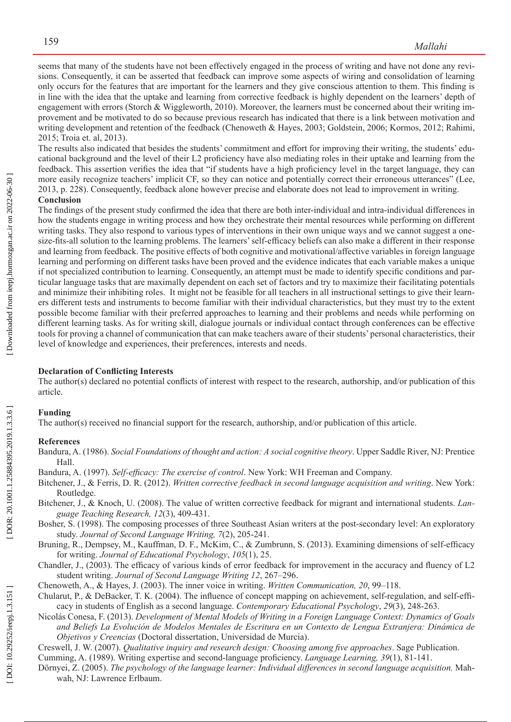seems that many of the students have not been effectively engaged in the process of writing and have not done any revi sions. Consequently, it can be asserted that feedback can improve some aspects of wiring and consolidation of learning only occurs for the features that are important for the learners and they give conscious attention to them. This finding is in line with the idea that the uptake and learning from corrective feedback is highly dependent on the learners' depth of engagement with errors (Storch & Wiggleworth, 2010). Moreover, the learners must be concerned about their writing improvement and be motivated to do so because previous research has indicated that there is a link between motivation and writing development and retention of the feedback (Chenoweth & Hayes, 2003; Goldstein, 2006; Kormos, 2012; Rahimi, 2015; Troia et. al, 2013).

The results also indicated that besides the students' commitment and effort for improving their writing, the students' edu cational background and the level of their L2 pro ficiency have also mediating roles in their uptake and learning from the feedback. This assertion veri fies the idea that "if students have a high proficiency level in the target language, they can more easily recognize teachers' implicit CF, so they can notice and potentially correct their erroneous utterances" (Lee, 2013, p. 228). Consequently, feedback alone however precise and elaborate does not lead to improvement in writing.

## **Conclusion**

The findings of the present study con firmed the idea that there are both inter-individual and intra-individual differences in how the students engage in writing process and how they orchestrate their mental resources while performing on different writing tasks. They also respond to various types of interventions in their own unique ways and we cannot suggest a onesize-fits-all solution to the learning problems. The learners' self-efficacy beliefs can also make a different in their response and learning from feedback. The positive effects of both cognitive and motivational/affective variables in foreign language learning and performing on different tasks have been proved and the evidence indicates that each variable makes a unique if not specialized contribution to learning. Consequently, an attempt must be made to identify speci fic conditions and par ticular language tasks that are maximally dependent on each set of factors and try to maximize their facilitating potentials and minimize their inhibiting roles. It might not be feasible for all teachers in all instructional settings to give their learn ers different tests and instruments to become familiar with their individual characteristics, but they must try to the extent possible become familiar with their preferred approaches to learning and their problems and needs while performing on different learning tasks. As for writing skill, dialogue journals or individual contact through conferences can be effective tools for proving a channel of communication that can make teachers aware of their students' personal characteristics, their level of knowledge and experiences, their preferences, interests and needs.

## **Declaration of Conflicting Interests**

The author(s) declared no potential conflicts of interest with respect to the research, authorship, and/or publication of this article.

## **Funding**

The author(s) received no financial support for the research, authorship, and/or publication of this article.

#### **References**

- Bandura, A. (1986). *Social Foundations of thought and action: A social cognitive theory*. Upper Saddle River, NJ: Prentice Hall.
- Bandura, A. (1997). *Self-efficacy: The exercise of control*. New York: WH Freeman and Company.
- Bitchener, J., & Ferris, D. R. (2012). *Written corrective feedback in second language acquisition and writing*. New York: Routledge.
- Bitchener, J., & Knoch, U. (2008). The value of written corrective feedback for migrant and international students. *Lan guage Teaching Research, 12*(3), 409-431.
- Bosher, S. (1998). The composing processes of three Southeast Asian writers at the post-secondary level: An exploratory study. *Journal of Second Language Writing, 7*(2), 205-241.
- Bruning, R., Dempsey, M., Kauffman, D. F., McKim, C., & Zumbrunn, S. (2013). Examining dimensions of self-efficacy for writing. *Journal of Educational Psychology* , *105*(1), 25.
- Chandler, J., (2003). The efficacy of various kinds of error feedback for improvement in the accuracy and fluency of L2 student writing. *Journal of Second Language Writing 12*, 267–296.
- Chenoweth, A., & Hayes, J. (2003). The inner voice in writing. *Written Communication, 20*, 99–118.
- Chularut, P., & DeBacker, T. K. (2004). The influence of concept mapping on achievement, self-regulation, and self-effi cacy in students of English as a second language. *Contemporary Educational Psychology* , *29*(3), 248-263.
- Nicolás Conesa, F. (2013). *Development of Mental Models of Writing in a Foreign Language Context: Dynamics of Goals and Beliefs La Evolución de Modelos Mentales de Escritura en un Contexto de Lengua Extranjera: Dinámica de Objetivos y Creencias* (Doctoral dissertation, Universidad de Murcia).
- Creswell, J. W. (2007). *Qualitative inquiry and research design: Choosing among five approaches*. Sage Publication.
- Cumming, A. (1989). Writing expertise and second-language pro ficiency. *Language Learning, 39*(1), 81-141.
- Dörnyei, Z. (2005). *The psychology of the language learner: Individual differences in second language acquisition.* Mah wah, NJ: Lawrence Erlbaum.

[DOR: 20.1001.1.25884395.2019.1.3.3.6]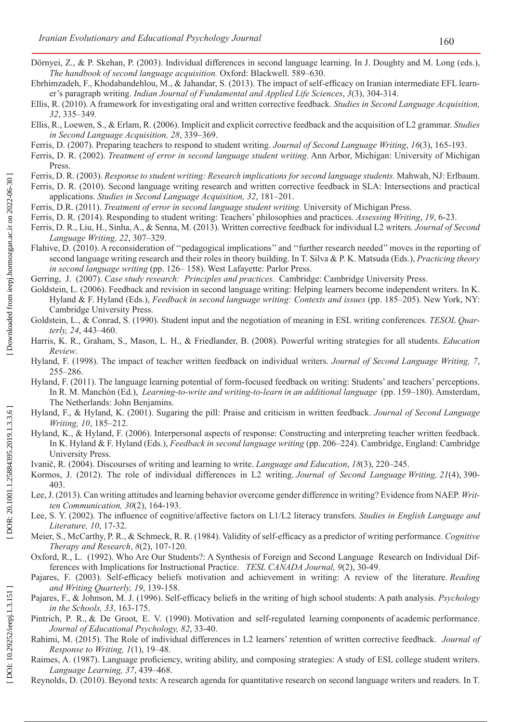- Dörnyei, Z., & P. Skehan, P. (2003). Individual differences in second language learning. In J. Doughty and M. Long (eds.), *The handbook of second language acquisition.* Oxford: Blackwell. 589–630.
- Ebrhimzadeh, F., Khodabandehlou, M., & Jahandar, S. (2013). The impact of self-efficacy on Iranian intermediate EFL learner's paragraph writing. *Indian Journal of Fundamental and Applied Life Sciences* , *3*(3), 304-314.
- Ellis, R. (2010). A framework for investigating oral and written corrective feedback. *Studies in Second Language Acquisition, 32*, 335–349.
- Ellis, R., Loewen, S., & Erlam, R. (2006). Implicit and explicit corrective feedback and the acquisition of L2 grammar. *Studies in Second Language Acquisition, 28*, 339–369.
- Ferris, D. (2007). Preparing teachers to respond to student writing. *Journal of Second Language Writing* , *16*(3), 165-193.
- Ferris, D. R. (2002). *Treatment of error in second language student writing*. Ann Arbor, Michigan: University of Michigan Press.
- Ferris, D. R. (2003). *Response to student writing: Research implications for second language students.* Mahwah, NJ: Erlbaum.
- Ferris, D. R. (2010). Second language writing research and written corrective feedback in SLA: Intersections and practical applications. *Studies in Second Language Acquisition, 32*, 181–201.
- Ferris, D.R. (2011). *Treatment of error in second language student writing*. University of Michigan Press.
- Ferris, D. R. (2014). Responding to student writing: Teachers' philosophies and practices. *Assessing Writing* , *19*, 6-23.
- Ferris, D. R., Liu, H., Sinha, A., & Senna, M. (2013). Written corrective feedback for individual L2 writers*. Journal of Second Language Writing, 22*, 307–329.
- Flahive, D. (2010). A reconsideration of ''pedagogical implications'' and ''further research needed'' moves in the reporting of second language writing research and their roles in theory building. In T. Silva & P. K. Matsuda (Eds.), *Practicing theory in second language writing* (pp. 126– 158). West Lafayette: Parlor Press.
- Gerring, J. (2007). *Case study research: Principles and practices.* Cambridge: Cambridge University Press.
- Goldstein, L. (2006). Feedback and revision in second language writing: Helping learners become independent writers. In K. Hyland & F. Hyland (Eds.), *Feedback in second language writing: Contexts and issues* (pp. 185–205). New York, NY: Cambridge University Press.
- Goldstein, L., & Conrad, S. (1990). Student input and the negotiation of meaning in ESL writing conferences. *TESOL Quarterly, 24*, 443–460.
- Harris, K. R., Graham, S., Mason, L. H., & Friedlander, B. (2008). Powerful writing strategies for all students. *Education Review* .
- Hyland, F. (1998). The impact of teacher written feedback on individual writers. *Journal of Second Language Writing, 7*, 255–286.
- Hyland, F. (2011). The language learning potential of form-focused feedback on writing: Students' and teachers' perceptions. In R. M. Manchón (Ed.), *Learning-to-write and writing-to-learn in an additional language* (pp. 159–180). Amsterdam, The Netherlands: John Benjamins.
- Hyland, F., & Hyland, K. (2001). Sugaring the pill: Praise and criticism in written feedback. *Journal of Second Language Writing, 10*, 185–212.
- Hyland, K., & Hyland, F. (2006). Interpersonal aspects of response: Constructing and interpreting teacher written feedback. In K. Hyland & F. Hyland (Eds.), *Feedback in second language writing* (pp. 206–224). Cambridge, England: Cambridge University Press.
- Ivanič, R. (2004). Discourses of writing and learning to write. *Language and Education*, *18*(3), 220–245.
- Kormos, J. (2012). The role of individual differences in L2 writing. *Journal of Second Language Writing, 21*(4), 390- 403.
- Lee, J. (2013). Can writing attitudes and learning behavior overcome gender difference in writing? Evidence from NAEP. *Writ ten Communication, 30*(2), 164-193.
- Lee, S. Y. (2002). The influence of cognitive/affective factors on L1/L2 literacy transfers. *Studies in English Language and Literature, 10*, 17-32.
- Meier, S., McCarthy, P. R., & Schmeck, R. R. (1984). Validity of self-efficacy as a predictor of writing performance. *Cognitive Therapy and Research* , *8*(2), 107-120.
- Oxford, R., L. (1992). Who Are Our Students?: A Synthesis of Foreign and Second Language Research on Individual Differences with Implications for Instructional Practice. *TESL CANADA Journal, 9*(2), 30-49.
- Pajares, F. (2003). Self-efficacy beliefs motivation and achievement in writing: A review of the literature. *Reading and Writing Quarterly, 19*, 139-158.
- Pajares, F., & Johnson, M. J. (1996). Self-efficacy beliefs in the writing of high school students: A path analysis. *Psychology in the Schools, 33*, 163-175.
- Pintrich, P. R., & De Groot, E. V. (1990). Motivation and self-regulated learning components of academic performance. *Journal of Educational Psychology, 82*, 33-40.
- Rahimi, M. (2015). The Role of individual differences in L2 learners' retention of written corrective feedback. *Journal of Response to Writing, 1*(1), 19–48.
- Raimes, A. (1987). Language pro ficiency, writing ability, and composing strategies: A study of ESL college student writers. *Language Learning, 37*, 439–468.
- Reynolds, D. (2010). Beyond texts: A research agenda for quantitative research on second language writers and readers. In T.

DOI: 10.29252/ieepj.1.3.151]